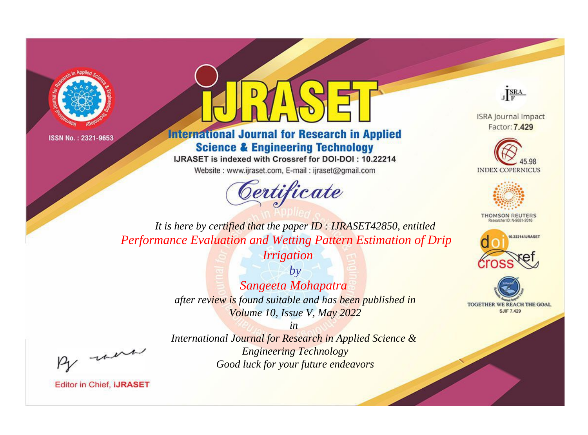



**International Journal for Research in Applied Science & Engineering Technology** 

IJRASET is indexed with Crossref for DOI-DOI: 10.22214

Website: www.ijraset.com, E-mail: ijraset@gmail.com





**ISRA Journal Impact** Factor: 7.429





**THOMSON REUTERS** 



TOGETHER WE REACH THE GOAL **SJIF 7.429** 

*It is here by certified that the paper ID : IJRASET42850, entitled Performance Evaluation and Wetting Pattern Estimation of Drip* 

*Irrigation*

*by Sangeeta Mohapatra after review is found suitable and has been published in Volume 10, Issue V, May 2022*

, were

*International Journal for Research in Applied Science & Engineering Technology Good luck for your future endeavors*

*in*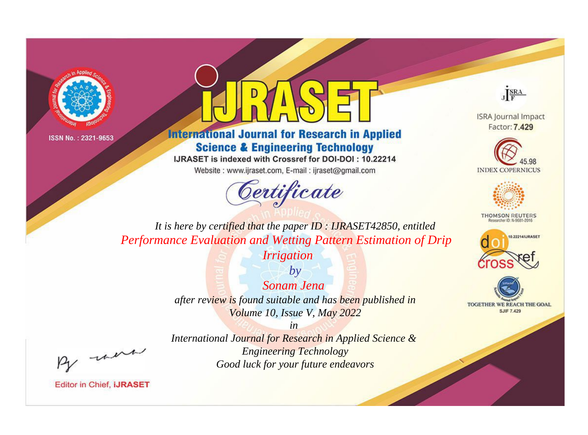



**International Journal for Research in Applied Science & Engineering Technology** 

IJRASET is indexed with Crossref for DOI-DOI: 10.22214

Website: www.ijraset.com, E-mail: ijraset@gmail.com





**ISRA Journal Impact** Factor: 7.429





**THOMSON REUTERS** 



TOGETHER WE REACH THE GOAL **SJIF 7.429** 

*It is here by certified that the paper ID : IJRASET42850, entitled Performance Evaluation and Wetting Pattern Estimation of Drip* 

*Irrigation*

*by Sonam Jena after review is found suitable and has been published in Volume 10, Issue V, May 2022*

, were

*International Journal for Research in Applied Science & Engineering Technology Good luck for your future endeavors*

*in*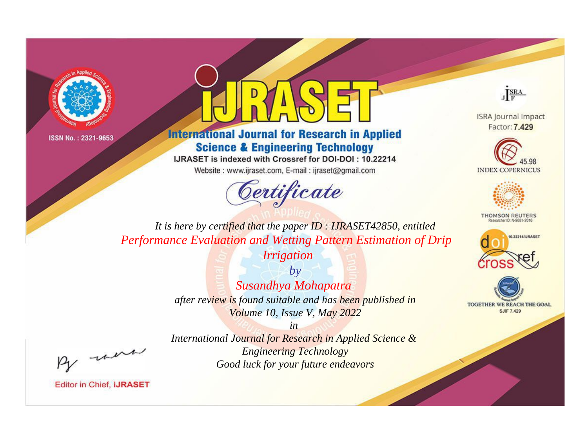



**International Journal for Research in Applied Science & Engineering Technology** 

IJRASET is indexed with Crossref for DOI-DOI: 10.22214

Website: www.ijraset.com, E-mail: ijraset@gmail.com





**ISRA Journal Impact** Factor: 7.429





**THOMSON REUTERS** 



TOGETHER WE REACH THE GOAL **SJIF 7.429** 

*It is here by certified that the paper ID : IJRASET42850, entitled Performance Evaluation and Wetting Pattern Estimation of Drip* 

*Irrigation*

*by Susandhya Mohapatra after review is found suitable and has been published in Volume 10, Issue V, May 2022*

, were

*International Journal for Research in Applied Science & Engineering Technology Good luck for your future endeavors*

*in*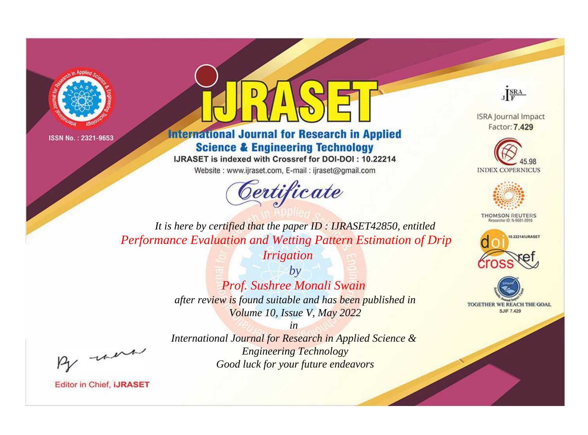



**International Journal for Research in Applied Science & Engineering Technology** 

IJRASET is indexed with Crossref for DOI-DOI: 10.22214

Website: www.ijraset.com, E-mail: ijraset@gmail.com





**ISRA Journal Impact** Factor: 7.429





**THOMSON REUTERS** 



TOGETHER WE REACH THE GOAL **SJIF 7.429** 

*It is here by certified that the paper ID : IJRASET42850, entitled Performance Evaluation and Wetting Pattern Estimation of Drip* 

*Irrigation*

*by Prof. Sushree Monali Swain after review is found suitable and has been published in Volume 10, Issue V, May 2022*

, were

*International Journal for Research in Applied Science & Engineering Technology Good luck for your future endeavors*

*in*